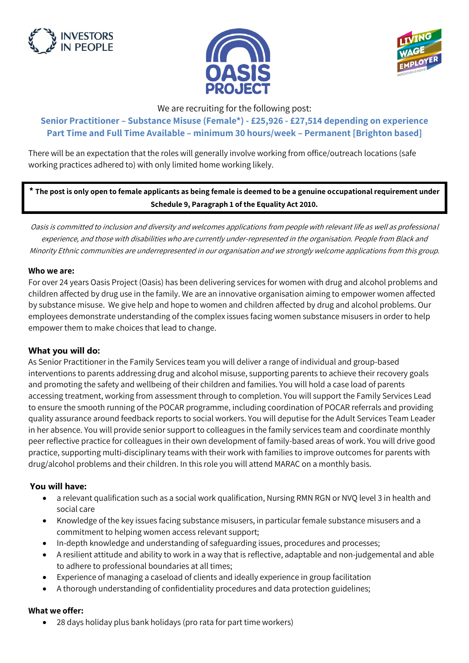





We are recruiting for the following post:

# **Senior Practitioner – Substance Misuse (Female\*) - £25,926 - £27,514 depending on experience Part Time and Full Time Available – minimum 30 hours/week – Permanent [Brighton based]**

There will be an expectation that the roles will generally involve working from office/outreach locations (safe working practices adhered to) with only limited home working likely.

## **\* The post is only open to female applicants as being female is deemed to be a genuine occupational requirement under Schedule 9, Paragraph 1 of the Equality Act 2010.**

Oasis is committed to inclusion and diversity and welcomes applications from people with relevant life as well as professional experience, and those with disabilities who are currently under-represented in the organisation. People from Black and Minority Ethnic communities are underrepresented in our organisation and we strongly welcome applications from this group.

#### **Who we are:**

For over 24 years Oasis Project (Oasis) has been delivering services for women with drug and alcohol problems and children affected by drug use in the family. We are an innovative organisation aiming to empower women affected by substance misuse. We give help and hope to women and children affected by drug and alcohol problems. Our employees demonstrate understanding of the complex issues facing women substance misusers in order to help empower them to make choices that lead to change.

## **What you will do:**

As Senior Practitioner in the Family Services team you will deliver a range of individual and group-based interventions to parents addressing drug and alcohol misuse, supporting parents to achieve their recovery goals and promoting the safety and wellbeing of their children and families. You will hold a case load of parents accessing treatment, working from assessment through to completion. You will support the Family Services Lead to ensure the smooth running of the POCAR programme, including coordination of POCAR referrals and providing quality assurance around feedback reports to social workers. You will deputise for the Adult Services Team Leader in her absence. You will provide senior support to colleagues in the family services team and coordinate monthly peer reflective practice for colleagues in their own development of family-based areas of work. You will drive good practice, supporting multi-disciplinary teams with their work with families to improve outcomes for parents with drug/alcohol problems and their children. In this role you will attend MARAC on a monthly basis.

## **You will have:**

- a relevant qualification such as a social work qualification, Nursing RMN RGN or NVQ level 3 in health and social care
- Knowledge of the key issues facing substance misusers, in particular female substance misusers and a commitment to helping women access relevant support;
- In-depth knowledge and understanding of safeguarding issues, procedures and processes;
- A resilient attitude and ability to work in a way that is reflective, adaptable and non-judgemental and able to adhere to professional boundaries at all times;
- Experience of managing a caseload of clients and ideally experience in group facilitation
- A thorough understanding of confidentiality procedures and data protection guidelines;

#### **What we offer:**

• 28 days holiday plus bank holidays (pro rata for part time workers)